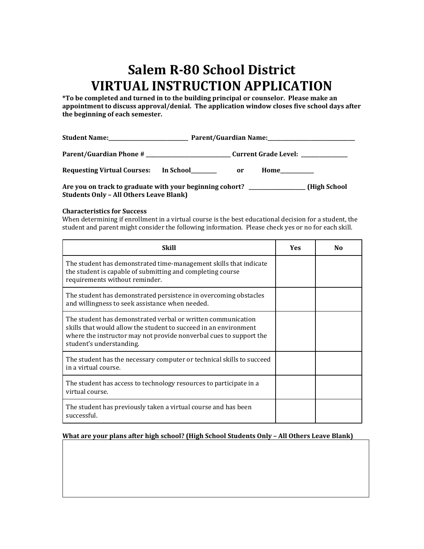## **Salem R-80 School District VIRTUAL INSTRUCTION APPLICATION**

**\*To be completed and turned in to the building principal or counselor. Please make an appointment to discuss approval/denial. The application window closes five school days after the beginning of each semester.**

| <b>Requesting Virtual Courses:</b>                                               | In School | <b>or</b> | <b>Home</b> 1999 |
|----------------------------------------------------------------------------------|-----------|-----------|------------------|
| Are you on track to graduate with your beginning cohort? _______________________ |           |           | (High School)    |

**Students Only – All Others Leave Blank)**

## **Characteristics for Success**

When determining if enrollment in a virtual course is the best educational decision for a student, the student and parent might consider the following information. Please check yes or no for each skill.

| Skill                                                                                                                                                                                                                              | Yes | No |
|------------------------------------------------------------------------------------------------------------------------------------------------------------------------------------------------------------------------------------|-----|----|
| The student has demonstrated time-management skills that indicate<br>the student is capable of submitting and completing course<br>requirements without reminder.                                                                  |     |    |
| The student has demonstrated persistence in overcoming obstacles<br>and willingness to seek assistance when needed.                                                                                                                |     |    |
| The student has demonstrated verbal or written communication<br>skills that would allow the student to succeed in an environment<br>where the instructor may not provide nonverbal cues to support the<br>student's understanding. |     |    |
| The student has the necessary computer or technical skills to succeed<br>in a virtual course.                                                                                                                                      |     |    |
| The student has access to technology resources to participate in a<br>virtual course.                                                                                                                                              |     |    |
| The student has previously taken a virtual course and has been<br>successful.                                                                                                                                                      |     |    |

## **What are your plans after high school? (High School Students Only – All Others Leave Blank)**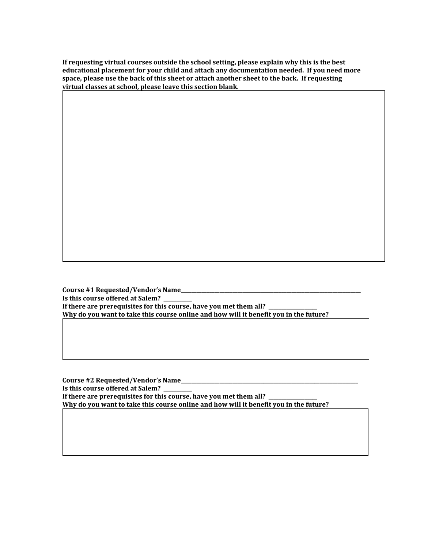**If requesting virtual courses outside the school setting, please explain why this is the best educational placement for your child and attach any documentation needed. If you need more space, please use the back of this sheet or attach another sheet to the back. If requesting virtual classes at school, please leave this section blank.**

**Course #1 Requested/Vendor's Name\_\_\_\_\_\_\_\_\_\_\_\_\_\_\_\_\_\_\_\_\_\_\_\_\_\_\_\_\_\_\_\_\_\_\_\_\_\_\_\_\_\_\_\_\_\_\_\_\_\_\_\_\_\_\_\_\_\_\_\_\_\_\_\_\_\_\_\_\_\_ Is this course offered at Salem? \_\_\_\_\_\_\_\_\_\_\_** If there are prerequisites for this course, have you met them all? \_ **Why do you want to take this course online and how will it benefit you in the future?**

**Course #2 Requested/Vendor's Name\_\_\_\_\_\_\_\_\_\_\_\_\_\_\_\_\_\_\_\_\_\_\_\_\_\_\_\_\_\_\_\_\_\_\_\_\_\_\_\_\_\_\_\_\_\_\_\_\_\_\_\_\_\_\_\_\_\_\_\_\_\_\_\_\_\_\_\_\_ Is this course offered at Salem? \_\_\_\_\_\_\_\_\_\_\_** If there are prerequisites for this course, have you met them all? **Why do you want to take this course online and how will it benefit you in the future?**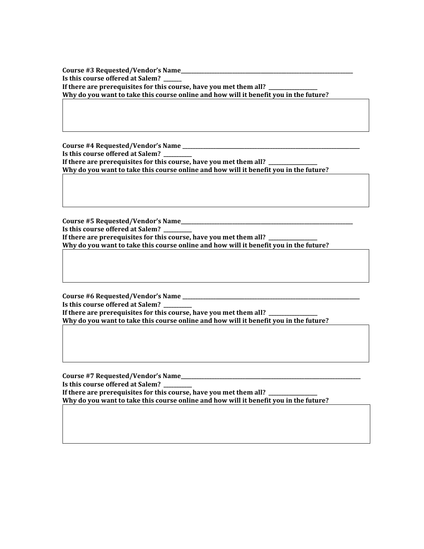**Course #3 Requested/Vendor's Name\_\_\_\_\_\_\_\_\_\_\_\_\_\_\_\_\_\_\_\_\_\_\_\_\_\_\_\_\_\_\_\_\_\_\_\_\_\_\_\_\_\_\_\_\_\_\_\_\_\_\_\_\_\_\_\_\_\_\_\_\_\_\_\_\_\_\_ Is this course offered at Salem? \_\_\_\_\_\_\_ If there are prerequisites for this course, have you met them all? \_\_\_\_\_\_\_\_\_\_\_\_\_\_\_\_\_\_\_ Why do you want to take this course online and how will it benefit you in the future?**

**Course #4 Requested/Vendor's Name \_\_\_\_\_\_\_\_\_\_\_\_\_\_\_\_\_\_\_\_\_\_\_\_\_\_\_\_\_\_\_\_\_\_\_\_\_\_\_\_\_\_\_\_\_\_\_\_\_\_\_\_\_\_\_\_\_\_\_\_\_\_\_\_\_\_\_\_\_ Is this course offered at Salem? \_\_\_\_\_\_\_\_\_\_\_** If there are prerequisites for this course, have you met them all? **Why do you want to take this course online and how will it benefit you in the future?**

**Course #5 Requested/Vendor's Name\_\_\_\_\_\_\_\_\_\_\_\_\_\_\_\_\_\_\_\_\_\_\_\_\_\_\_\_\_\_\_\_\_\_\_\_\_\_\_\_\_\_\_\_\_\_\_\_\_\_\_\_\_\_\_\_\_\_\_\_\_\_\_\_\_\_\_ Is this course offered at Salem? \_\_\_\_\_\_\_\_\_\_\_** If there are prerequisites for this course, have you met them all? **Why do you want to take this course online and how will it benefit you in the future?**

**Course #6 Requested/Vendor's Name \_\_\_\_\_\_\_\_\_\_\_\_\_\_\_\_\_\_\_\_\_\_\_\_\_\_\_\_\_\_\_\_\_\_\_\_\_\_\_\_\_\_\_\_\_\_\_\_\_\_\_\_\_\_\_\_\_\_\_\_\_\_\_\_\_\_\_\_\_ Is this course offered at Salem? \_\_\_\_\_\_\_\_\_\_\_** If there are prerequisites for this course, have you met them all? **Why do you want to take this course online and how will it benefit you in the future?**

**Course #7 Requested/Vendor's Name\_\_\_\_\_\_\_\_\_\_\_\_\_\_\_\_\_\_\_\_\_\_\_\_\_\_\_\_\_\_\_\_\_\_\_\_\_\_\_\_\_\_\_\_\_\_\_\_\_\_\_\_\_\_\_\_\_\_\_\_\_\_\_\_\_\_\_\_\_\_ Is this course offered at Salem? \_\_\_\_\_\_\_\_\_\_\_** If there are prerequisites for this course, have you met them all? **Why do you want to take this course online and how will it benefit you in the future?**